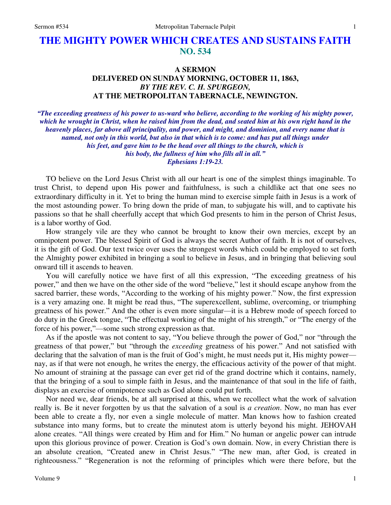# **THE MIGHTY POWER WHICH CREATES AND SUSTAINS FAITH NO. 534**

## **A SERMON DELIVERED ON SUNDAY MORNING, OCTOBER 11, 1863,**  *BY THE REV. C. H. SPURGEON,*  **AT THE METROPOLITAN TABERNACLE, NEWINGTON.**

*"The exceeding greatness of his power to us-ward who believe, according to the working of his mighty power, which he wrought in Christ, when he raised him from the dead, and seated him at his own right hand in the heavenly places, far above all principality, and power, and might, and dominion, and every name that is named, not only in this world, but also in that which is to come: and has put all things under his feet, and gave him to be the head over all things to the church, which is his body, the fullness of him who fills all in all." Ephesians 1:19-23.* 

TO believe on the Lord Jesus Christ with all our heart is one of the simplest things imaginable. To trust Christ, to depend upon His power and faithfulness, is such a childlike act that one sees no extraordinary difficulty in it. Yet to bring the human mind to exercise simple faith in Jesus is a work of the most astounding power. To bring down the pride of man, to subjugate his will, and to captivate his passions so that he shall cheerfully accept that which God presents to him in the person of Christ Jesus, is a labor worthy of God.

How strangely vile are they who cannot be brought to know their own mercies, except by an omnipotent power. The blessed Spirit of God is always the secret Author of faith. It is not of ourselves, it is the gift of God. Our text twice over uses the strongest words which could be employed to set forth the Almighty power exhibited in bringing a soul to believe in Jesus, and in bringing that believing soul onward till it ascends to heaven.

You will carefully notice we have first of all this expression, "The exceeding greatness of his power," and then we have on the other side of the word "believe," lest it should escape anyhow from the sacred barrier, these words, "According to the working of his mighty power." Now, the first expression is a very amazing one. It might be read thus, "The superexcellent, sublime, overcoming, or triumphing greatness of his power." And the other is even more singular—it is a Hebrew mode of speech forced to do duty in the Greek tongue, "The effectual working of the might of his strength," or "The energy of the force of his power,"—some such strong expression as that.

As if the apostle was not content to say, "You believe through the power of God," nor "through the greatness of that power," but "through the *exceeding* greatness of his power." And not satisfied with declaring that the salvation of man is the fruit of God's might, he must needs put it, His mighty power nay, as if that were not enough, he writes the energy, the efficacious activity of the power of that might. No amount of straining at the passage can ever get rid of the grand doctrine which it contains, namely, that the bringing of a soul to simple faith in Jesus, and the maintenance of that soul in the life of faith, displays an exercise of omnipotence such as God alone could put forth.

Nor need we, dear friends, be at all surprised at this, when we recollect what the work of salvation really is. Be it never forgotten by us that the salvation of a soul is *a creation*. Now, no man has ever been able to create a fly, nor even a single molecule of matter. Man knows how to fashion created substance into many forms, but to create the minutest atom is utterly beyond his might. JEHOVAH alone creates. "All things were created by Him and for Him." No human or angelic power can intrude upon this glorious province of power. Creation is God's own domain. Now, in every Christian there is an absolute creation, "Created anew in Christ Jesus." "The new man, after God, is created in righteousness." "Regeneration is not the reforming of principles which were there before, but the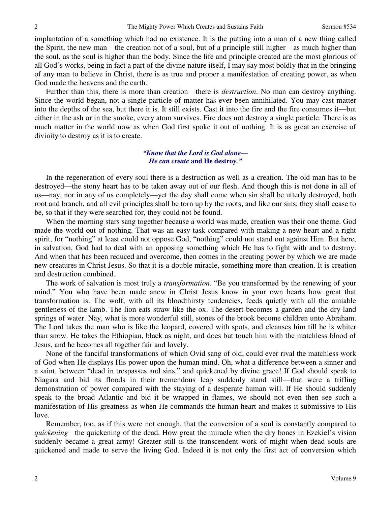implantation of a something which had no existence. It is the putting into a man of a new thing called the Spirit, the new man—the creation not of a soul, but of a principle still higher—as much higher than the soul, as the soul is higher than the body. Since the life and principle created are the most glorious of all God's works, being in fact a part of the divine nature itself, I may say most boldly that in the bringing of any man to believe in Christ, there is as true and proper a manifestation of creating power, as when God made the heavens and the earth.

Further than this, there is more than creation—there is *destruction*. No man can destroy anything. Since the world began, not a single particle of matter has ever been annihilated. You may cast matter into the depths of the sea, but there it is. It still exists. Cast it into the fire and the fire consumes it—but either in the ash or in the smoke, every atom survives. Fire does not destroy a single particle. There is as much matter in the world now as when God first spoke it out of nothing. It is as great an exercise of divinity to destroy as it is to create.

### *"Know that the Lord is God alone— He can create* **and He destroy***."*

In the regeneration of every soul there is a destruction as well as a creation. The old man has to be destroyed—the stony heart has to be taken away out of our flesh. And though this is not done in all of us—nay, nor in any of us completely—yet the day shall come when sin shall be utterly destroyed, both root and branch, and all evil principles shall be torn up by the roots, and like our sins, they shall cease to be, so that if they were searched for, they could not be found.

When the morning stars sang together because a world was made, creation was their one theme. God made the world out of nothing. That was an easy task compared with making a new heart and a right spirit, for "nothing" at least could not oppose God, "nothing" could not stand out against Him. But here, in salvation, God had to deal with an opposing something which He has to fight with and to destroy. And when that has been reduced and overcome, then comes in the creating power by which we are made new creatures in Christ Jesus. So that it is a double miracle, something more than creation. It is creation and destruction combined.

The work of salvation is most truly a *transformation*. "Be you transformed by the renewing of your mind." You who have been made anew in Christ Jesus know in your own hearts how great that transformation is. The wolf, with all its bloodthirsty tendencies, feeds quietly with all the amiable gentleness of the lamb. The lion eats straw like the ox. The desert becomes a garden and the dry land springs of water. Nay, what is more wonderful still, stones of the brook become children unto Abraham. The Lord takes the man who is like the leopard, covered with spots, and cleanses him till he is whiter than snow. He takes the Ethiopian, black as night, and does but touch him with the matchless blood of Jesus, and he becomes all together fair and lovely.

None of the fanciful transformations of which Ovid sang of old, could ever rival the matchless work of God when He displays His power upon the human mind. Oh, what a difference between a sinner and a saint, between "dead in trespasses and sins," and quickened by divine grace! If God should speak to Niagara and bid its floods in their tremendous leap suddenly stand still—that were a trifling demonstration of power compared with the staying of a desperate human will. If He should suddenly speak to the broad Atlantic and bid it be wrapped in flames, we should not even then see such a manifestation of His greatness as when He commands the human heart and makes it submissive to His love.

Remember, too, as if this were not enough, that the conversion of a soul is constantly compared to *quickening—*the quickening of the dead. How great the miracle when the dry bones in Ezekiel's vision suddenly became a great army! Greater still is the transcendent work of might when dead souls are quickened and made to serve the living God. Indeed it is not only the first act of conversion which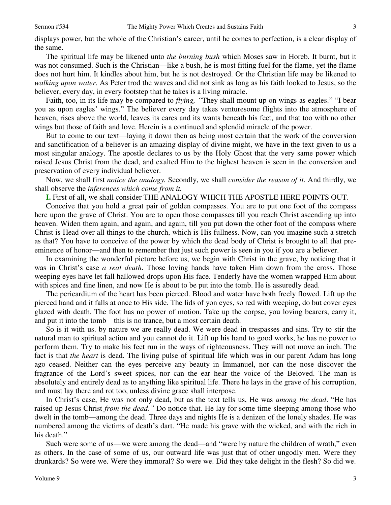displays power, but the whole of the Christian's career, until he comes to perfection, is a clear display of the same.

The spiritual life may be likened unto *the burning bush* which Moses saw in Horeb. It burnt, but it was not consumed. Such is the Christian—like a bush, he is most fitting fuel for the flame, yet the flame does not hurt him. It kindles about him, but he is not destroyed. Or the Christian life may be likened to *walking upon water*. As Peter trod the waves and did not sink as long as his faith looked to Jesus, so the believer, every day, in every footstep that he takes is a living miracle.

Faith, too, in its life may be compared to *flying, "*They shall mount up on wings as eagles." "I bear you as upon eagles' wings." The believer every day takes venturesome flights into the atmosphere of heaven, rises above the world, leaves its cares and its wants beneath his feet, and that too with no other wings but those of faith and love. Herein is a continued and splendid miracle of the power.

But to come to our text—laying it down then as being most certain that the work of the conversion and sanctification of a believer is an amazing display of divine might, we have in the text given to us a most singular analogy. The apostle declares to us by the Holy Ghost that the very same power which raised Jesus Christ from the dead, and exalted Him to the highest heaven is seen in the conversion and preservation of every individual believer.

Now, we shall first *notice the analogy.* Secondly, we shall *consider the reason of it.* And thirdly, we shall observe the *inferences which come from it.* 

**I.** First of all, we shall consider THE ANALOGY WHICH THE APOSTLE HERE POINTS OUT.

Conceive that you hold a great pair of golden compasses. You are to put one foot of the compass here upon the grave of Christ. You are to open those compasses till you reach Christ ascending up into heaven. Widen them again, and again, and again, till you put down the other foot of the compass where Christ is Head over all things to the church, which is His fullness. Now, can you imagine such a stretch as that? You have to conceive of the power by which the dead body of Christ is brought to all that preeminence of honor—and then to remember that just such power is seen in you if you are a believer.

In examining the wonderful picture before us, we begin with Christ in the grave, by noticing that it was in Christ's case *a real death*. Those loving hands have taken Him down from the cross. Those weeping eyes have let fall hallowed drops upon His face. Tenderly have the women wrapped Him about with spices and fine linen, and now He is about to be put into the tomb. He is assuredly dead.

The pericardium of the heart has been pierced. Blood and water have both freely flowed. Lift up the pierced hand and it falls at once to His side. The lids of yon eyes, so red with weeping, do but cover eyes glazed with death. The foot has no power of motion. Take up the corpse, you loving bearers, carry it, and put it into the tomb—this is no trance, but a most certain death.

So is it with us. by nature we are really dead. We were dead in trespasses and sins. Try to stir the natural man to spiritual action and you cannot do it. Lift up his hand to good works, he has no power to perform them. Try to make his feet run in the ways of righteousness. They will not move an inch. The fact is that *the heart* is dead. The living pulse of spiritual life which was in our parent Adam has long ago ceased. Neither can the eyes perceive any beauty in Immanuel, nor can the nose discover the fragrance of the Lord's sweet spices, nor can the ear hear the voice of the Beloved. The man is absolutely and entirely dead as to anything like spiritual life. There he lays in the grave of his corruption, and must lay there and rot too, unless divine grace shall interpose.

In Christ's case, He was not only dead, but as the text tells us, He was *among the dead*. "He has raised up Jesus Christ *from the dead*.*"* Do notice that. He lay for some time sleeping among those who dwelt in the tomb—among the dead. Three days and nights He is a denizen of the lonely shades. He was numbered among the victims of death's dart. "He made his grave with the wicked, and with the rich in his death."

Such were some of us—we were among the dead—and "were by nature the children of wrath," even as others. In the case of some of us, our outward life was just that of other ungodly men. Were they drunkards? So were we. Were they immoral? So were we. Did they take delight in the flesh? So did we.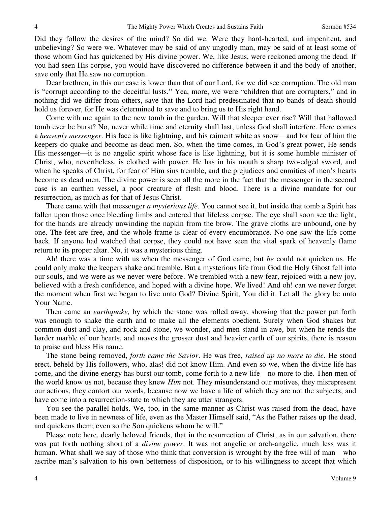Did they follow the desires of the mind? So did we. Were they hard-hearted, and impenitent, and unbelieving? So were we. Whatever may be said of any ungodly man, may be said of at least some of those whom God has quickened by His divine power. We, like Jesus, were reckoned among the dead. If you had seen His corpse, you would have discovered no difference between it and the body of another, save only that He saw no corruption.

Dear brethren, in this our case is lower than that of our Lord, for we did see corruption. The old man is "corrupt according to the deceitful lusts." Yea, more, we were "children that are corrupters," and in nothing did we differ from others, save that the Lord had predestinated that no bands of death should hold us forever, for He was determined to save and to bring us to His right hand.

Come with me again to the new tomb in the garden. Will that sleeper ever rise? Will that hallowed tomb ever be burst? No, never while time and eternity shall last, unless God shall interfere. Here comes a *heavenly messenger.* His face is like lightning, and his raiment white as snow—and for fear of him the keepers do quake and become as dead men. So, when the time comes, in God's great power, He sends His messenger—it is no angelic spirit whose face is like lightning, but it is some humble minister of Christ, who, nevertheless, is clothed with power. He has in his mouth a sharp two-edged sword, and when he speaks of Christ, for fear of Him sins tremble, and the prejudices and enmities of men's hearts become as dead men. The divine power is seen all the more in the fact that the messenger in the second case is an earthen vessel, a poor creature of flesh and blood. There is a divine mandate for our resurrection, as much as for that of Jesus Christ.

There came with that messenger *a mysterious life*. You cannot see it, but inside that tomb a Spirit has fallen upon those once bleeding limbs and entered that lifeless corpse. The eye shall soon see the light, for the hands are already unwinding the napkin from the brow. The grave cloths are unbound, one by one. The feet are free, and the whole frame is clear of every encumbrance. No one saw the life come back. If anyone had watched that corpse, they could not have seen the vital spark of heavenly flame return to its proper altar. No, it was a mysterious thing.

Ah! there was a time with us when the messenger of God came, but *he* could not quicken us. He could only make the keepers shake and tremble. But a mysterious life from God the Holy Ghost fell into our souls, and we were as we never were before. We trembled with a new fear, rejoiced with a new joy, believed with a fresh confidence, and hoped with a divine hope. We lived! And oh! can we never forget the moment when first we began to live unto God? Divine Spirit, You did it. Let all the glory be unto Your Name.

Then came an *earthquake,* by which the stone was rolled away, showing that the power put forth was enough to shake the earth and to make all the elements obedient. Surely when God shakes but common dust and clay, and rock and stone, we wonder, and men stand in awe, but when he rends the harder marble of our hearts, and moves the grosser dust and heavier earth of our spirits, there is reason to praise and bless His name.

The stone being removed, *forth came the Savior*. He was free, *raised up no more to die.* He stood erect, beheld by His followers, who, alas! did not know Him. And even so we, when the divine life has come, and the divine energy has burst our tomb, come forth to a new life—no more to die. Then men of the world know us not, because they knew *Him* not. They misunderstand our motives, they misrepresent our actions, they contort our words, because now we have a life of which they are not the subjects, and have come into a resurrection-state to which they are utter strangers.

You see the parallel holds. We, too, in the same manner as Christ was raised from the dead, have been made to live in newness of life, even as the Master Himself said, "As the Father raises up the dead, and quickens them; even so the Son quickens whom he will."

Please note here, dearly beloved friends, that in the resurrection of Christ, as in our salvation, there was put forth nothing short of a *divine power*. It was not angelic or arch-angelic, much less was it human. What shall we say of those who think that conversion is wrought by the free will of man—who ascribe man's salvation to his own betterness of disposition, or to his willingness to accept that which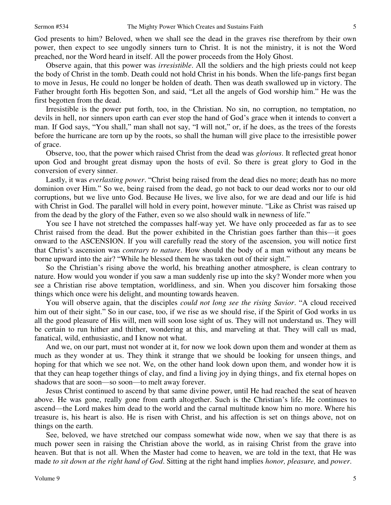God presents to him? Beloved, when we shall see the dead in the graves rise therefrom by their own power, then expect to see ungodly sinners turn to Christ. It is not the ministry, it is not the Word preached, nor the Word heard in itself. All the power proceeds from the Holy Ghost.

Observe again, that this power was *irresistible*. All the soldiers and the high priests could not keep the body of Christ in the tomb. Death could not hold Christ in his bonds. When the life-pangs first began to move in Jesus, He could no longer be holden of death. Then was death swallowed up in victory. The Father brought forth His begotten Son, and said, "Let all the angels of God worship him." He was the first begotten from the dead.

Irresistible is the power put forth, too, in the Christian. No sin, no corruption, no temptation, no devils in hell, nor sinners upon earth can ever stop the hand of God's grace when it intends to convert a man. If God says, "You shall," man shall not say, "I will not," or, if he does, as the trees of the forests before the hurricane are torn up by the roots, so shall the human will give place to the irresistible power of grace.

Observe, too, that the power which raised Christ from the dead was *glorious*. It reflected great honor upon God and brought great dismay upon the hosts of evil. So there is great glory to God in the conversion of every sinner.

Lastly, it was *everlasting power*. "Christ being raised from the dead dies no more; death has no more dominion over Him." So we, being raised from the dead, go not back to our dead works nor to our old corruptions, but we live unto God. Because He lives, we live also, for we are dead and our life is hid with Christ in God. The parallel will hold in every point, however minute. "Like as Christ was raised up from the dead by the glory of the Father, even so we also should walk in newness of life."

You see I have not stretched the compasses half-way yet. We have only proceeded as far as to see Christ raised from the dead. But the power exhibited in the Christian goes farther than this—it goes onward to the ASCENSION. If you will carefully read the story of the ascension, you will notice first that Christ's ascension was *contrary to nature*. How should the body of a man without any means be borne upward into the air? "While he blessed them he was taken out of their sight."

So the Christian's rising above the world, his breathing another atmosphere, is clean contrary to nature. How would you wonder if you saw a man suddenly rise up into the sky? Wonder more when you see a Christian rise above temptation, worldliness, and sin. When you discover him forsaking those things which once were his delight, and mounting towards heaven.

You will observe again, that the disciples *could not long see the rising Savior*. "A cloud received him out of their sight." So in our case, too, if we rise as we should rise, if the Spirit of God works in us all the good pleasure of His will, men will soon lose sight of us. They will not understand us. They will be certain to run hither and thither, wondering at this, and marveling at that. They will call us mad, fanatical, wild, enthusiastic, and I know not what.

And we, on our part, must not wonder at it, for now we look down upon them and wonder at them as much as they wonder at us. They think it strange that we should be looking for unseen things, and hoping for that which we see not. We, on the other hand look down upon them, and wonder how it is that they can heap together things of clay, and find a living joy in dying things, and fix eternal hopes on shadows that are soon—so soon—to melt away forever.

Jesus Christ continued to ascend by that same divine power, until He had reached the seat of heaven above. He was gone, really gone from earth altogether. Such is the Christian's life. He continues to ascend—the Lord makes him dead to the world and the carnal multitude know him no more. Where his treasure is, his heart is also. He is risen with Christ, and his affection is set on things above, not on things on the earth.

See, beloved, we have stretched our compass somewhat wide now, when we say that there is as much power seen in raising the Christian above the world, as in raising Christ from the grave into heaven. But that is not all. When the Master had come to heaven, we are told in the text, that He was made *to sit down at the right hand of God*. Sitting at the right hand implies *honor, pleasure,* and *power*.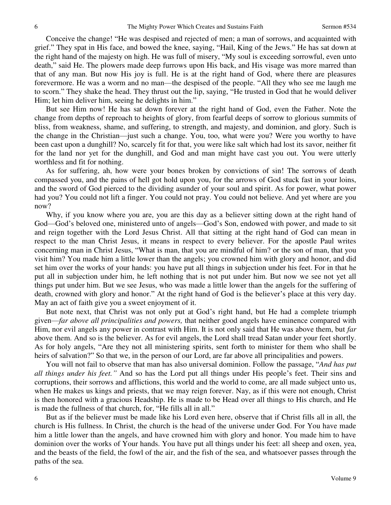Conceive the change! "He was despised and rejected of men; a man of sorrows, and acquainted with grief." They spat in His face, and bowed the knee, saying, "Hail, King of the Jews." He has sat down at the right hand of the majesty on high. He was full of misery, "My soul is exceeding sorrowful, even unto death," said He. The plowers made deep furrows upon His back, and His visage was more marred than that of any man. But now His joy is full. He is at the right hand of God, where there are pleasures forevermore. He was a worm and no man—the despised of the people. "All they who see me laugh me to scorn." They shake the head. They thrust out the lip, saying, "He trusted in God that he would deliver Him; let him deliver him, seeing he delights in him."

But see Him now! He has sat down forever at the right hand of God, even the Father. Note the change from depths of reproach to heights of glory, from fearful deeps of sorrow to glorious summits of bliss, from weakness, shame, and suffering, to strength, and majesty, and dominion, and glory. Such is the change in the Christian—just such a change. You, too, what were you? Were you worthy to have been cast upon a dunghill? No, scarcely fit for that, you were like salt which had lost its savor, neither fit for the land nor yet for the dunghill, and God and man might have cast you out. You were utterly worthless and fit for nothing.

As for suffering, ah, how were your bones broken by convictions of sin! The sorrows of death compassed you, and the pains of hell got hold upon you, for the arrows of God stuck fast in your loins, and the sword of God pierced to the dividing asunder of your soul and spirit. As for power, what power had you? You could not lift a finger. You could not pray. You could not believe. And yet where are you now?

Why, if you know where you are, you are this day as a believer sitting down at the right hand of God—God's beloved one, ministered unto of angels—God's Son, endowed with power, and made to sit and reign together with the Lord Jesus Christ. All that sitting at the right hand of God can mean in respect to the man Christ Jesus, it means in respect to every believer. For the apostle Paul writes concerning man in Christ Jesus, "What is man, that you are mindful of him? or the son of man, that you visit him? You made him a little lower than the angels; you crowned him with glory and honor, and did set him over the works of your hands: you have put all things in subjection under his feet. For in that he put all in subjection under him, he left nothing that is not put under him. But now we see not yet all things put under him. But we see Jesus, who was made a little lower than the angels for the suffering of death, crowned with glory and honor." At the right hand of God is the believer's place at this very day. May an act of faith give you a sweet enjoyment of it.

But note next, that Christ was not only put at God's right hand, but He had a complete triumph given—*far above all principalities and powers,* that neither good angels have eminence compared with Him, nor evil angels any power in contrast with Him. It is not only said that He was above them, but *far*  above them. And so is the believer. As for evil angels, the Lord shall tread Satan under your feet shortly. As for holy angels, "Are they not all ministering spirits, sent forth to minister for them who shall be heirs of salvation?" So that we, in the person of our Lord, are far above all principalities and powers.

You will not fail to observe that man has also universal dominion. Follow the passage, "*And has put all things under his feet."* And so has the Lord put all things under His people's feet. Their sins and corruptions, their sorrows and afflictions, this world and the world to come, are all made subject unto us, when He makes us kings and priests, that we may reign forever. Nay, as if this were not enough, Christ is then honored with a gracious Headship. He is made to be Head over all things to His church, and He is made the fullness of that church, for, "He fills all in all."

But as if the believer must be made like his Lord even here, observe that if Christ fills all in all, the church is His fullness. In Christ, the church is the head of the universe under God. For You have made him a little lower than the angels, and have crowned him with glory and honor. You made him to have dominion over the works of Your hands. You have put all things under his feet: all sheep and oxen, yea, and the beasts of the field, the fowl of the air, and the fish of the sea, and whatsoever passes through the paths of the sea.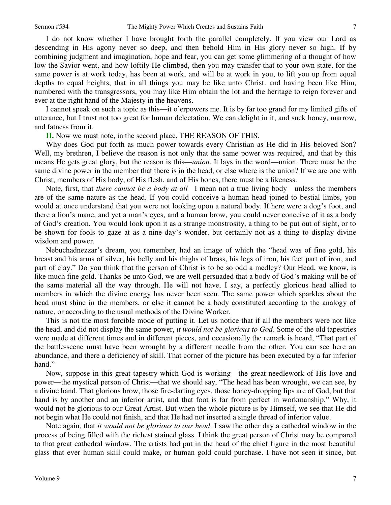7

I do not know whether I have brought forth the parallel completely. If you view our Lord as descending in His agony never so deep, and then behold Him in His glory never so high. If by combining judgment and imagination, hope and fear, you can get some glimmering of a thought of how low the Savior went, and how loftily He climbed, then you may transfer that to your own state, for the same power is at work today, has been at work, and will be at work in you, to lift you up from equal depths to equal heights, that in all things you may be like unto Christ. and having been like Him, numbered with the transgressors, you may like Him obtain the lot and the heritage to reign forever and ever at the right hand of the Majesty in the heavens.

I cannot speak on such a topic as this—it o'erpowers me. It is by far too grand for my limited gifts of utterance, but I trust not too great for human delectation. We can delight in it, and suck honey, marrow, and fatness from it.

**II.** Now we must note, in the second place, THE REASON OF THIS.

Why does God put forth as much power towards every Christian as He did in His beloved Son? Well, my brethren, I believe the reason is not only that the same power was required, and that by this means He gets great glory, but the reason is this—*union*. It lays in the word—union. There must be the same divine power in the member that there is in the head, or else where is the union? If we are one with Christ, members of His body, of His flesh, and of His bones, there must be a likeness.

Note, first, that *there cannot be a body at all—*I mean not a true living body—unless the members are of the same nature as the head. If you could conceive a human head joined to bestial limbs, you would at once understand that you were not looking upon a natural body. If here were a dog's foot, and there a lion's mane, and yet a man's eyes, and a human brow, you could never conceive of it as a body of God's creation. You would look upon it as a strange monstrosity, a thing to be put out of sight, or to be shown for fools to gaze at as a nine-day's wonder. but certainly not as a thing to display divine wisdom and power.

Nebuchadnezzar's dream, you remember, had an image of which the "head was of fine gold, his breast and his arms of silver, his belly and his thighs of brass, his legs of iron, his feet part of iron, and part of clay." Do you think that the person of Christ is to be so odd a medley? Our Head, we know, is like much fine gold. Thanks be unto God, we are well persuaded that a body of God's making will be of the same material all the way through. He will not have, I say, a perfectly glorious head allied to members in which the divine energy has never been seen. The same power which sparkles about the head must shine in the members, or else it cannot be a body constituted according to the analogy of nature, or according to the usual methods of the Divine Worker.

This is not the most forcible mode of putting it. Let us notice that if all the members were not like the head, and did not display the same power, *it would not be glorious to God*. Some of the old tapestries were made at different times and in different pieces, and occasionally the remark is heard, "That part of the battle-scene must have been wrought by a different needle from the other. You can see here an abundance, and there a deficiency of skill. That corner of the picture has been executed by a far inferior hand."

Now, suppose in this great tapestry which God is working—the great needlework of His love and power—the mystical person of Christ—that we should say, "The head has been wrought, we can see, by a divine hand. That glorious brow, those fire-darting eyes, those honey-dropping lips are of God, but that hand is by another and an inferior artist, and that foot is far from perfect in workmanship." Why, it would not be glorious to our Great Artist. But when the whole picture is by Himself, we see that He did not begin what He could not finish, and that He had not inserted a single thread of inferior value.

Note again, that *it would not be glorious to our head*. I saw the other day a cathedral window in the process of being filled with the richest stained glass. I think the great person of Christ may be compared to that great cathedral window. The artists had put in the head of the chief figure in the most beautiful glass that ever human skill could make, or human gold could purchase. I have not seen it since, but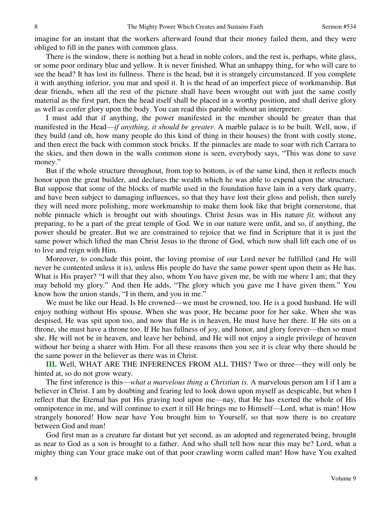imagine for an instant that the workers afterward found that their money failed them, and they were obliged to fill in the panes with common glass.

There is the window, there is nothing but a head in noble colors, and the rest is, perhaps, white glass, or some poor ordinary blue and yellow. It is never finished. What an unhappy thing, for who will care to see the head? It has lost its fullness. There is the head, but it is strangely circumstanced. If you complete it with anything inferior, you mar and spoil it. It is the head of an imperfect piece of workmanship. But dear friends, when all the rest of the picture shall have been wrought out with just the same costly material as the first part, then the head itself shall be placed in a worthy position, and shall derive glory as well as confer glory upon the body. You can read this parable without an interpreter.

I must add that if anything, the power manifested in the member should be greater than that manifested in the Head—*if anything, it should be greater*. A marble palace is to be built. Well, now, if they build (and oh, how many people do this kind of thing in their houses) the front with costly stone, and then erect the back with common stock bricks. If the pinnacles are made to soar with rich Carrara to the skies, and then down in the walls common stone is seen, everybody says, "This was done to save money."

But if the whole structure throughout, from top to bottom, is of the same kind, then it reflects much honor upon the great builder, and declares the wealth which he was able to expend upon the structure. But suppose that some of the blocks of marble used in the foundation have lain in a very dark quarry, and have been subject to damaging influences, so that they have lost their gloss and polish, then surely they will need more polishing, more workmanship to make them look like that bright cornerstone, that noble pinnacle which is brought out with shoutings. Christ Jesus was in His nature *fit,* without any preparing, to be a part of the great temple of God. We in our nature were unfit, and so, if anything, the power should be greater. But we are constrained to rejoice that we find in Scripture that it is just the same power which lifted the man Christ Jesus to the throne of God, which now shall lift each one of us to live and reign with Him.

Moreover, to conclude this point, the loving promise of our Lord never be fulfilled (and He will never be contented unless it is), unless His people do have the same power spent upon them as He has. What is His prayer? "I will that they also, whom You have given me, be with me where I am; that they may behold my glory." And then He adds, "The glory which you gave me I have given them." You know how the union stands, "I in them, and you in me."

We must be like our Head. Is He crowned—we must be crowned, too. He is a good husband. He will enjoy nothing without His spouse. When she was poor, He became poor for her sake. When she was despised, He was spit upon too, and now that He is in heaven, He must have her there. If He sits on a throne, she must have a throne too. If He has fullness of joy, and honor, and glory forever—then so must she. He will not be in heaven, and leave her behind, and He will not enjoy a single privilege of heaven without her being a sharer with Him. For all these reasons then you see it is clear why there should be the same power in the believer as there was in Christ.

**III.** Well, WHAT ARE THE INFERENCES FROM ALL THIS? Two or three—they will only be hinted at, so do not grow weary.

The first inference is this—*what a marvelous thing a Christian is.* A marvelous person am I if I am a believer in Christ. I am by doubting and fearing led to look down upon myself as despicable, but when I reflect that the Eternal has put His graving tool upon me—nay, that He has exerted the whole of His omnipotence in me, and will continue to exert it till He brings me to Himself—Lord, what is man! How strangely honored! How near have You brought him to Yourself, so that now there is no creature between God and man!

God first man as a creature far distant but yet second, as an adopted and regenerated being, brought as near to God as a son is brought to a father. And who shall tell how near this may be? Lord, what a mighty thing can Your grace make out of that poor crawling worm called man! How have You exalted